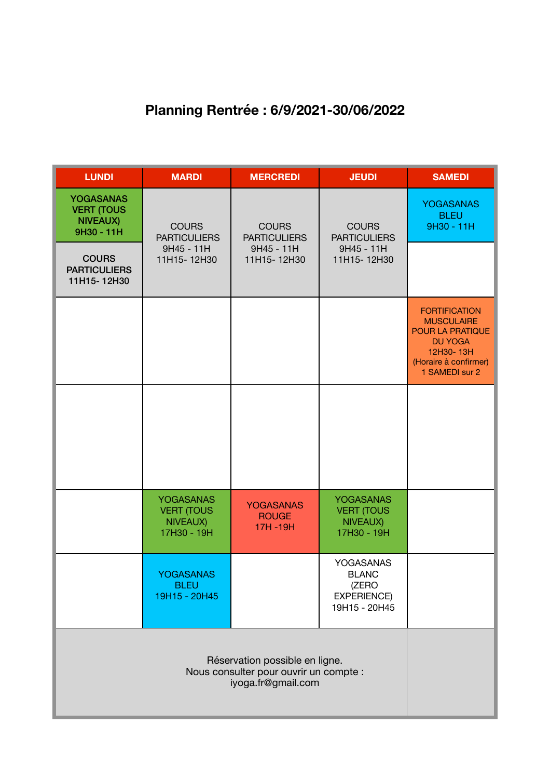## **Planning Rentrée : 6/9/2021-30/06/2022**

| <b>LUNDI</b>                                                           | <b>MARDI</b>                                                     | <b>MERCREDI</b>                                                  | <b>JEUDI</b>                                                                     | <b>SAMEDI</b>                                                                                                                                  |
|------------------------------------------------------------------------|------------------------------------------------------------------|------------------------------------------------------------------|----------------------------------------------------------------------------------|------------------------------------------------------------------------------------------------------------------------------------------------|
| <b>YOGASANAS</b><br><b>VERT (TOUS</b><br><b>NIVEAUX)</b><br>9H30 - 11H | <b>COURS</b><br><b>PARTICULIERS</b><br>9H45 - 11H<br>11H15-12H30 | <b>COURS</b><br><b>PARTICULIERS</b><br>9H45 - 11H<br>11H15-12H30 | <b>COURS</b><br><b>PARTICULIERS</b><br>9H45 - 11H<br>11H15-12H30                 | <b>YOGASANAS</b><br><b>BLEU</b><br>9H30 - 11H                                                                                                  |
| <b>COURS</b><br><b>PARTICULIERS</b><br>11H15-12H30                     |                                                                  |                                                                  |                                                                                  |                                                                                                                                                |
|                                                                        |                                                                  |                                                                  |                                                                                  | <b>FORTIFICATION</b><br><b>MUSCULAIRE</b><br><b>POUR LA PRATIQUE</b><br><b>DU YOGA</b><br>12H30-13H<br>(Horaire à confirmer)<br>1 SAMEDI sur 2 |
|                                                                        |                                                                  |                                                                  |                                                                                  |                                                                                                                                                |
|                                                                        |                                                                  |                                                                  |                                                                                  |                                                                                                                                                |
|                                                                        | <b>YOGASANAS</b><br><b>VERT (TOUS</b><br>NIVEAUX)<br>17H30 - 19H | <b>YOGASANAS</b><br><b>ROUGE</b><br>17H-19H                      | <b>YOGASANAS</b><br><b>VERT (TOUS</b><br>NIVEAUX)<br>17H30 - 19H                 |                                                                                                                                                |
|                                                                        | <b>YOGASANAS</b><br><b>BLEU</b><br>19H15 - 20H45                 |                                                                  | <b>YOGASANAS</b><br><b>BLANC</b><br>(ZERO<br><b>EXPERIENCE)</b><br>19H15 - 20H45 |                                                                                                                                                |
|                                                                        |                                                                  |                                                                  |                                                                                  |                                                                                                                                                |